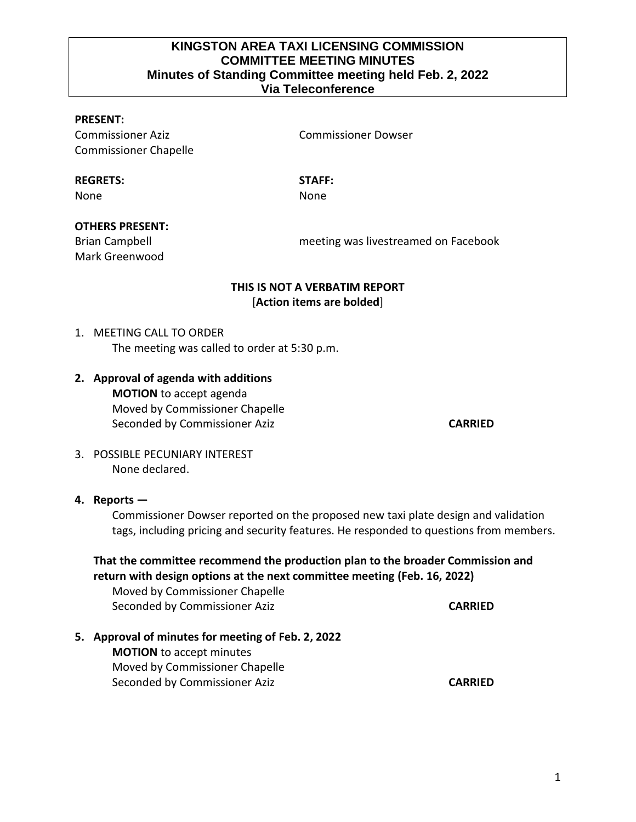## **KINGSTON AREA TAXI LICENSING COMMISSION COMMITTEE MEETING MINUTES Minutes of Standing Committee meeting held Feb. 2, 2022 Via Teleconference**

### **PRESENT:**

Commissioner Aziz Commissioner Dowser Commissioner Chapelle

**REGRETS: STAFF:**

None **None** None

#### **OTHERS PRESENT:**

Mark Greenwood

Brian Campbell meeting was livestreamed on Facebook

## **THIS IS NOT A VERBATIM REPORT** [**Action items are bolded**]

# 1. MEETING CALL TO ORDER The meeting was called to order at 5:30 p.m.

**2. Approval of agenda with additions MOTION** to accept agenda Moved by Commissioner Chapelle Seconded by Commissioner Aziz **CARRIED CARRIED** 

3. POSSIBLE PECUNIARY INTEREST None declared.

#### **4. Reports —**

Commissioner Dowser reported on the proposed new taxi plate design and validation tags, including pricing and security features. He responded to questions from members.

# **That the committee recommend the production plan to the broader Commission and return with design options at the next committee meeting (Feb. 16, 2022)**

Moved by Commissioner Chapelle Seconded by Commissioner Aziz **CARRIED CARRIED** 

## **5. Approval of minutes for meeting of Feb. 2, 2022**

**MOTION** to accept minutes Moved by Commissioner Chapelle Seconded by Commissioner Aziz **CARRIED CARRIED** 

1